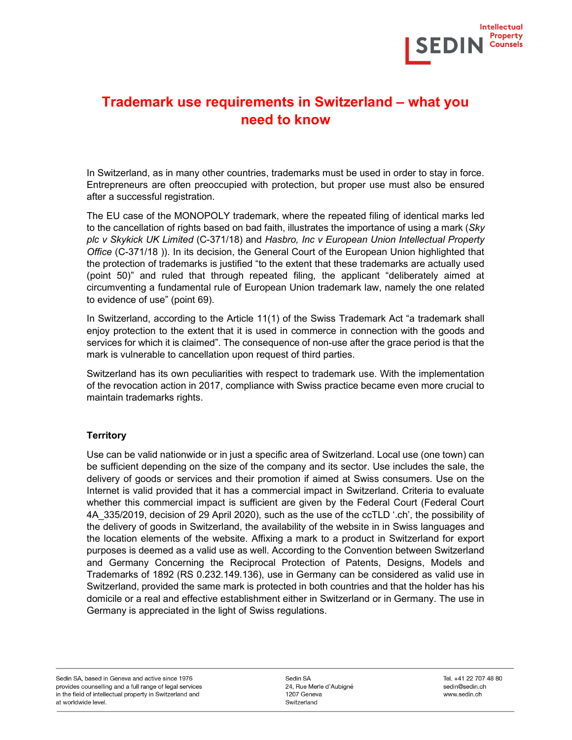

# Trademark use requirements in Switzerland – what you need to know

In Switzerland, as in many other countries, trademarks must be used in order to stay in force. Entrepreneurs are often preoccupied with protection, but proper use must also be ensured after a successful registration.

The EU case of the MONOPOLY trademark, where the repeated filing of identical marks led to the cancellation of rights based on bad faith, illustrates the importance of using a mark (Sky plc v Skykick UK Limited (C-371/18) and Hasbro, Inc v European Union Intellectual Property Office (C-371/18 )). In its decision, the General Court of the European Union highlighted that the protection of trademarks is justified "to the extent that these trademarks are actually used (point 50)" and ruled that through repeated filing, the applicant "deliberately aimed at circumventing a fundamental rule of European Union trademark law, namely the one related to evidence of use" (point 69).

In Switzerland, according to the Article 11(1) of the Swiss Trademark Act "a trademark shall enjoy protection to the extent that it is used in commerce in connection with the goods and services for which it is claimed". The consequence of non-use after the grace period is that the mark is vulnerable to cancellation upon request of third parties.

Switzerland has its own peculiarities with respect to trademark use. With the implementation of the revocation action in 2017, compliance with Swiss practice became even more crucial to maintain trademarks rights.

#### **Territory**

Use can be valid nationwide or in just a specific area of Switzerland. Local use (one town) can be sufficient depending on the size of the company and its sector. Use includes the sale, the delivery of goods or services and their promotion if aimed at Swiss consumers. Use on the Internet is valid provided that it has a commercial impact in Switzerland. Criteria to evaluate whether this commercial impact is sufficient are given by the Federal Court (Federal Court 4A\_335/2019, decision of 29 April 2020), such as the use of the ccTLD '.ch', the possibility of the delivery of goods in Switzerland, the availability of the website in in Swiss languages and the location elements of the website. Affixing a mark to a product in Switzerland for export purposes is deemed as a valid use as well. According to the Convention between Switzerland and Germany Concerning the Reciprocal Protection of Patents, Designs, Models and Trademarks of 1892 (RS 0.232.149.136), use in Germany can be considered as valid use in Switzerland, provided the same mark is protected in both countries and that the holder has his domicile or a real and effective establishment either in Switzerland or in Germany. The use in Germany is appreciated in the light of Swiss regulations.

Sedin SA 24, Rue Merle d'Aubigné 1207 Geneva Switzerland

Tel. +41 22 707 48 80 sedin@sedin.ch www.sedin.ch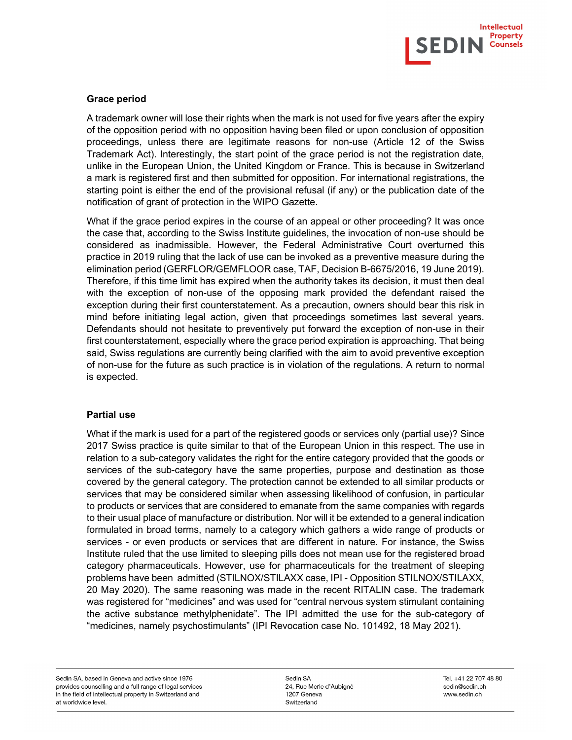

### Grace period

A trademark owner will lose their rights when the mark is not used for five years after the expiry of the opposition period with no opposition having been filed or upon conclusion of opposition proceedings, unless there are legitimate reasons for non-use (Article 12 of the Swiss Trademark Act). Interestingly, the start point of the grace period is not the registration date, unlike in the European Union, the United Kingdom or France. This is because in Switzerland a mark is registered first and then submitted for opposition. For international registrations, the starting point is either the end of the provisional refusal (if any) or the publication date of the notification of grant of protection in the WIPO Gazette.

What if the grace period expires in the course of an appeal or other proceeding? It was once the case that, according to the Swiss Institute guidelines, the invocation of non-use should be considered as inadmissible. However, the Federal Administrative Court overturned this practice in 2019 ruling that the lack of use can be invoked as a preventive measure during the elimination period (GERFLOR/GEMFLOOR case, TAF, Decision B-6675/2016, 19 June 2019). Therefore, if this time limit has expired when the authority takes its decision, it must then deal with the exception of non-use of the opposing mark provided the defendant raised the exception during their first counterstatement. As a precaution, owners should bear this risk in mind before initiating legal action, given that proceedings sometimes last several years. Defendants should not hesitate to preventively put forward the exception of non-use in their first counterstatement, especially where the grace period expiration is approaching. That being said, Swiss regulations are currently being clarified with the aim to avoid preventive exception of non-use for the future as such practice is in violation of the regulations. A return to normal is expected.

#### Partial use

What if the mark is used for a part of the registered goods or services only (partial use)? Since 2017 Swiss practice is quite similar to that of the European Union in this respect. The use in relation to a sub-category validates the right for the entire category provided that the goods or services of the sub-category have the same properties, purpose and destination as those covered by the general category. The protection cannot be extended to all similar products or services that may be considered similar when assessing likelihood of confusion, in particular to products or services that are considered to emanate from the same companies with regards to their usual place of manufacture or distribution. Nor will it be extended to a general indication formulated in broad terms, namely to a category which gathers a wide range of products or services - or even products or services that are different in nature. For instance, the Swiss Institute ruled that the use limited to sleeping pills does not mean use for the registered broad category pharmaceuticals. However, use for pharmaceuticals for the treatment of sleeping problems have been admitted (STILNOX/STILAXX case, IPI - Opposition STILNOX/STILAXX, 20 May 2020). The same reasoning was made in the recent RITALIN case. The trademark was registered for "medicines" and was used for "central nervous system stimulant containing the active substance methylphenidate". The IPI admitted the use for the sub-category of "medicines, namely psychostimulants" (IPI Revocation case No. 101492, 18 May 2021).

Sedin SA 24, Rue Merle d'Aubigné 1207 Geneva Switzerland

Tel. +41 22 707 48 80 sedin@sedin.ch www.sedin.ch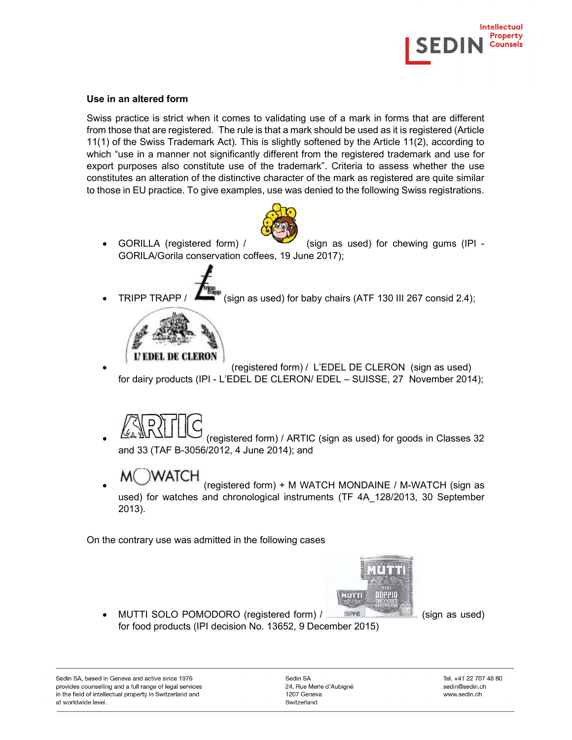

## Use in an altered form

Swiss practice is strict when it comes to validating use of a mark in forms that are different from those that are registered. The rule is that a mark should be used as it is registered (Article 11(1) of the Swiss Trademark Act). This is slightly softened by the Article 11(2), according to which "use in a manner not significantly different from the registered trademark and use for export purposes also constitute use of the trademark". Criteria to assess whether the use constitutes an alteration of the distinctive character of the mark as registered are quite similar to those in EU practice. To give examples, use was denied to the following Swiss registrations.



 GORILLA (registered form) / (sign as used) for chewing gums (IPI - GORILA/Gorila conservation coffees, 19 June 2017);



TRIPP TRAPP /  $\Box$  (sign as used) for baby chairs (ATF 130 III 267 consid 2.4);



 (registered form) / L'EDEL DE CLERON (sign as used) for dairy products (IPI - L'EDEL DE CLERON/ EDEL – SUISSE, 27 November 2014);



 (registered form) / ARTIC (sign as used) for goods in Classes 32 and 33 (TAF B-3056/2012, 4 June 2014); and

 (registered form) + M WATCH MONDAINE / M-WATCH (sign as used) for watches and chronological instruments (TF 4A\_128/2013, 30 September 2013).

On the contrary use was admitted in the following cases



• MUTTI SOLO POMODORO (registered form) /  $\Box$  DOPPIO  $\Box$  (sign as used) for food products (IPI decision No. 13652, 9 December 2015)

Sedin SA, based in Geneva and active since 1976 provides counselling and a full range of legal services in the field of intellectual property in Switzerland and at worldwide level.

Sedin SA 24, Rue Merle d'Aubigné 1207 Geneva Switzerland

Tel. +41 22 707 48 80 sedin@sedin.ch www.sedin.ch